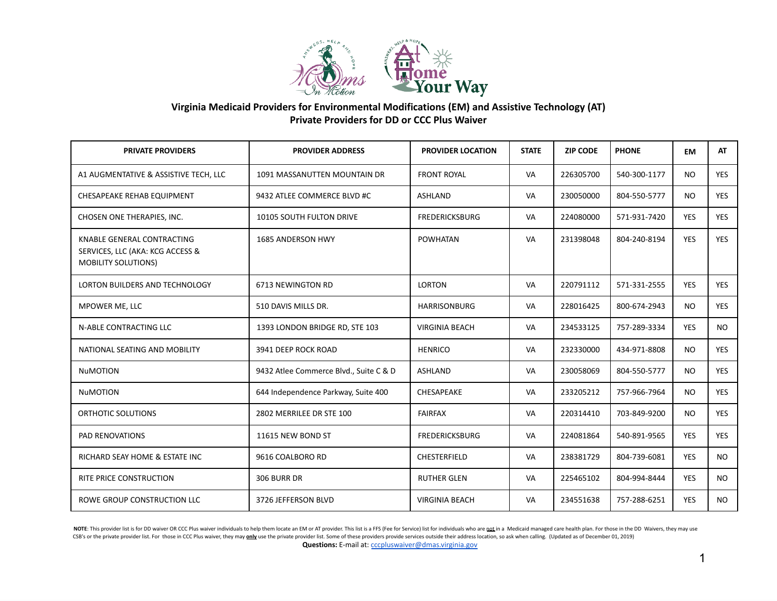

## **Virginia Medicaid Providers for Environmental Modifications (EM) and Assistive Technology (AT) Private Providers for DD or CCC Plus Waiver**

| <b>PRIVATE PROVIDERS</b>                                                                     | <b>PROVIDER ADDRESS</b>                | <b>PROVIDER LOCATION</b> | <b>STATE</b> | <b>ZIP CODE</b> | <b>PHONE</b> | <b>EM</b>  | AT         |
|----------------------------------------------------------------------------------------------|----------------------------------------|--------------------------|--------------|-----------------|--------------|------------|------------|
| A1 AUGMENTATIVE & ASSISTIVE TECH, LLC                                                        | 1091 MASSANUTTEN MOUNTAIN DR           | <b>FRONT ROYAL</b>       | VA           | 226305700       | 540-300-1177 | <b>NO</b>  | <b>YES</b> |
| CHESAPEAKE REHAB EQUIPMENT                                                                   | 9432 ATLEE COMMERCE BLVD #C            | <b>ASHLAND</b>           | VA           | 230050000       | 804-550-5777 | <b>NO</b>  | <b>YES</b> |
| CHOSEN ONE THERAPIES, INC.                                                                   | 10105 SOUTH FULTON DRIVE               | <b>FREDERICKSBURG</b>    | VA           | 224080000       | 571-931-7420 | <b>YES</b> | <b>YES</b> |
| KNABLE GENERAL CONTRACTING<br>SERVICES, LLC (AKA: KCG ACCESS &<br><b>MOBILITY SOLUTIONS)</b> | <b>1685 ANDERSON HWY</b>               | <b>POWHATAN</b>          | VA           | 231398048       | 804-240-8194 | <b>YES</b> | <b>YES</b> |
| <b>LORTON BUILDERS AND TECHNOLOGY</b>                                                        | 6713 NEWINGTON RD                      | <b>LORTON</b>            | VA           | 220791112       | 571-331-2555 | <b>YES</b> | <b>YES</b> |
| MPOWER ME, LLC                                                                               | 510 DAVIS MILLS DR.                    | <b>HARRISONBURG</b>      | VA           | 228016425       | 800-674-2943 | <b>NO</b>  | <b>YES</b> |
| N-ABLE CONTRACTING LLC                                                                       | 1393 LONDON BRIDGE RD, STE 103         | <b>VIRGINIA BEACH</b>    | VA           | 234533125       | 757-289-3334 | <b>YES</b> | NO.        |
| NATIONAL SEATING AND MOBILITY                                                                | 3941 DEEP ROCK ROAD                    | <b>HENRICO</b>           | VA           | 232330000       | 434-971-8808 | <b>NO</b>  | <b>YES</b> |
| <b>NuMOTION</b>                                                                              | 9432 Atlee Commerce Blvd., Suite C & D | <b>ASHLAND</b>           | VA           | 230058069       | 804-550-5777 | <b>NO</b>  | <b>YES</b> |
| <b>NuMOTION</b>                                                                              | 644 Independence Parkway, Suite 400    | CHESAPEAKE               | VA           | 233205212       | 757-966-7964 | <b>NO</b>  | <b>YES</b> |
| ORTHOTIC SOLUTIONS                                                                           | 2802 MERRILEE DR STE 100               | <b>FAIRFAX</b>           | VA           | 220314410       | 703-849-9200 | <b>NO</b>  | <b>YES</b> |
| PAD RENOVATIONS                                                                              | 11615 NEW BOND ST                      | <b>FREDERICKSBURG</b>    | VA           | 224081864       | 540-891-9565 | <b>YES</b> | <b>YES</b> |
| RICHARD SEAY HOME & ESTATE INC                                                               | 9616 COALBORO RD                       | CHESTERFIELD             | VA           | 238381729       | 804-739-6081 | <b>YES</b> | NO.        |
| RITE PRICE CONSTRUCTION                                                                      | 306 BURR DR                            | <b>RUTHER GLEN</b>       | VA           | 225465102       | 804-994-8444 | <b>YES</b> | NO.        |
| ROWE GROUP CONSTRUCTION LLC                                                                  | 3726 JEFFERSON BLVD                    | <b>VIRGINIA BEACH</b>    | VA           | 234551638       | 757-288-6251 | <b>YES</b> | <b>NO</b>  |

NOTE: This provider list is for DD waiver OR CCC Plus waiver individuals to help them locate an EM or AT provider. This list is a FFS (Fee for Service) list for individuals who are not in a Medicaid managed care health pla CSB's or the private provider list. For those in CCC Plus waiver, they may only use the private provider list. Some of these providers provide services outside their address location, so ask when calling. (Updated as of De Questions: E-mail at: *[cccpluswaiver@dmas.virginia.gov](mailto:cccpluswaiver@dmas.virginia.gov)*